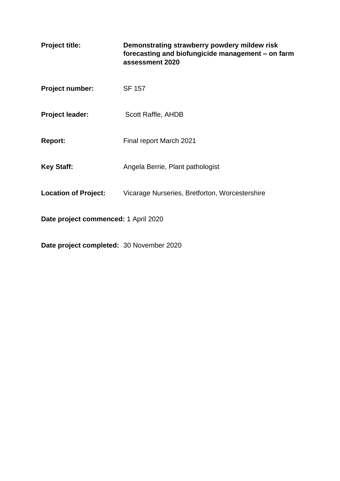| <b>Project title:</b>                | Demonstrating strawberry powdery mildew risk<br>forecasting and biofungicide management - on farm<br>assessment 2020 |  |
|--------------------------------------|----------------------------------------------------------------------------------------------------------------------|--|
| <b>Project number:</b>               | <b>SF 157</b>                                                                                                        |  |
| <b>Project leader:</b>               | Scott Raffle, AHDB                                                                                                   |  |
| <b>Report:</b>                       | Final report March 2021                                                                                              |  |
| <b>Key Staff:</b>                    | Angela Berrie, Plant pathologist                                                                                     |  |
| <b>Location of Project:</b>          | Vicarage Nurseries, Bretforton, Worcestershire                                                                       |  |
| Date project commenced: 1 April 2020 |                                                                                                                      |  |

**Date project completed:** 30 November 2020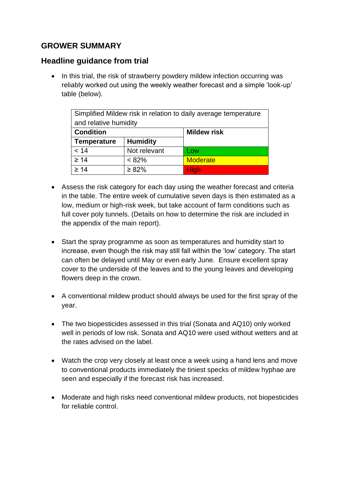## **GROWER SUMMARY**

## **Headline guidance from trial**

• In this trial, the risk of strawberry powdery mildew infection occurring was reliably worked out using the weekly weather forecast and a simple 'look-up' table (below).

| Simplified Mildew risk in relation to daily average temperature |                 |                    |  |  |
|-----------------------------------------------------------------|-----------------|--------------------|--|--|
| and relative humidity                                           |                 |                    |  |  |
| <b>Condition</b>                                                |                 | <b>Mildew risk</b> |  |  |
| <b>Temperature</b>                                              | <b>Humidity</b> |                    |  |  |
| < 14                                                            | Not relevant    | Low                |  |  |
| $\geq 14$                                                       | $< 82\%$        | <b>Moderate</b>    |  |  |
| $\geq 14$                                                       | $\geq 82\%$     | <b>High</b>        |  |  |

- Assess the risk category for each day using the weather forecast and criteria in the table. The entire week of cumulative seven days is then estimated as a low, medium or high-risk week, but take account of farm conditions such as full cover poly tunnels. (Details on how to determine the risk are included in the appendix of the main report).
- Start the spray programme as soon as temperatures and humidity start to increase, even though the risk may still fall within the 'low' category. The start can often be delayed until May or even early June. Ensure excellent spray cover to the underside of the leaves and to the young leaves and developing flowers deep in the crown.
- A conventional mildew product should always be used for the first spray of the year.
- The two biopesticides assessed in this trial (Sonata and AQ10) only worked well in periods of low risk. Sonata and AQ10 were used without wetters and at the rates advised on the label.
- Watch the crop very closely at least once a week using a hand lens and move to conventional products immediately the tiniest specks of mildew hyphae are seen and especially if the forecast risk has increased.
- Moderate and high risks need conventional mildew products, not biopesticides for reliable control.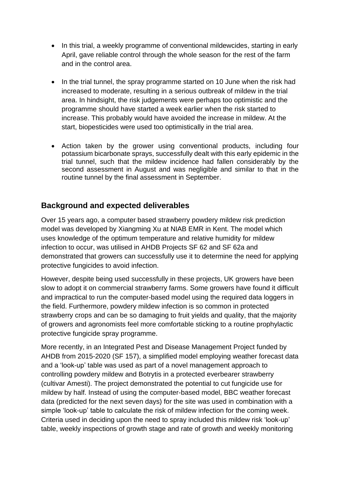- In this trial, a weekly programme of conventional mildewcides, starting in early April, gave reliable control through the whole season for the rest of the farm and in the control area.
- In the trial tunnel, the spray programme started on 10 June when the risk had increased to moderate, resulting in a serious outbreak of mildew in the trial area. In hindsight, the risk judgements were perhaps too optimistic and the programme should have started a week earlier when the risk started to increase. This probably would have avoided the increase in mildew. At the start, biopesticides were used too optimistically in the trial area.
- Action taken by the grower using conventional products, including four potassium bicarbonate sprays, successfully dealt with this early epidemic in the trial tunnel, such that the mildew incidence had fallen considerably by the second assessment in August and was negligible and similar to that in the routine tunnel by the final assessment in September.

## **Background and expected deliverables**

Over 15 years ago, a computer based strawberry powdery mildew risk prediction model was developed by Xiangming Xu at NIAB EMR in Kent. The model which uses knowledge of the optimum temperature and relative humidity for mildew infection to occur, was utilised in AHDB Projects SF 62 and SF 62a and demonstrated that growers can successfully use it to determine the need for applying protective fungicides to avoid infection.

However, despite being used successfully in these projects, UK growers have been slow to adopt it on commercial strawberry farms. Some growers have found it difficult and impractical to run the computer-based model using the required data loggers in the field. Furthermore, powdery mildew infection is so common in protected strawberry crops and can be so damaging to fruit yields and quality, that the majority of growers and agronomists feel more comfortable sticking to a routine prophylactic protective fungicide spray programme.

More recently, in an Integrated Pest and Disease Management Project funded by AHDB from 2015-2020 (SF 157), a simplified model employing weather forecast data and a 'look-up' table was used as part of a novel management approach to controlling powdery mildew and Botrytis in a protected everbearer strawberry (cultivar Amesti). The project demonstrated the potential to cut fungicide use for mildew by half. Instead of using the computer-based model, BBC weather forecast data (predicted for the next seven days) for the site was used in combination with a simple 'look-up' table to calculate the risk of mildew infection for the coming week. Criteria used in deciding upon the need to spray included this mildew risk 'look-up' table, weekly inspections of growth stage and rate of growth and weekly monitoring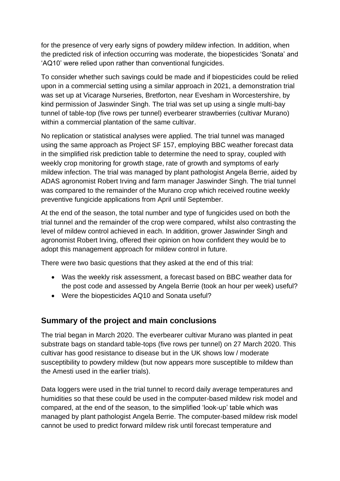for the presence of very early signs of powdery mildew infection. In addition, when the predicted risk of infection occurring was moderate, the biopesticides 'Sonata' and 'AQ10' were relied upon rather than conventional fungicides.

To consider whether such savings could be made and if biopesticides could be relied upon in a commercial setting using a similar approach in 2021, a demonstration trial was set up at Vicarage Nurseries, Bretforton, near Evesham in Worcestershire, by kind permission of Jaswinder Singh. The trial was set up using a single multi-bay tunnel of table-top (five rows per tunnel) everbearer strawberries (cultivar Murano) within a commercial plantation of the same cultivar.

No replication or statistical analyses were applied. The trial tunnel was managed using the same approach as Project SF 157, employing BBC weather forecast data in the simplified risk prediction table to determine the need to spray, coupled with weekly crop monitoring for growth stage, rate of growth and symptoms of early mildew infection. The trial was managed by plant pathologist Angela Berrie, aided by ADAS agronomist Robert Irving and farm manager Jaswinder Singh. The trial tunnel was compared to the remainder of the Murano crop which received routine weekly preventive fungicide applications from April until September.

At the end of the season, the total number and type of fungicides used on both the trial tunnel and the remainder of the crop were compared, whilst also contrasting the level of mildew control achieved in each. In addition, grower Jaswinder Singh and agronomist Robert Irving, offered their opinion on how confident they would be to adopt this management approach for mildew control in future.

There were two basic questions that they asked at the end of this trial:

- Was the weekly risk assessment, a forecast based on BBC weather data for the post code and assessed by Angela Berrie (took an hour per week) useful?
- Were the biopesticides AQ10 and Sonata useful?

## **Summary of the project and main conclusions**

The trial began in March 2020. The everbearer cultivar Murano was planted in peat substrate bags on standard table-tops (five rows per tunnel) on 27 March 2020. This cultivar has good resistance to disease but in the UK shows low / moderate susceptibility to powdery mildew (but now appears more susceptible to mildew than the Amesti used in the earlier trials).

Data loggers were used in the trial tunnel to record daily average temperatures and humidities so that these could be used in the computer-based mildew risk model and compared, at the end of the season, to the simplified 'look-up' table which was managed by plant pathologist Angela Berrie. The computer-based mildew risk model cannot be used to predict forward mildew risk until forecast temperature and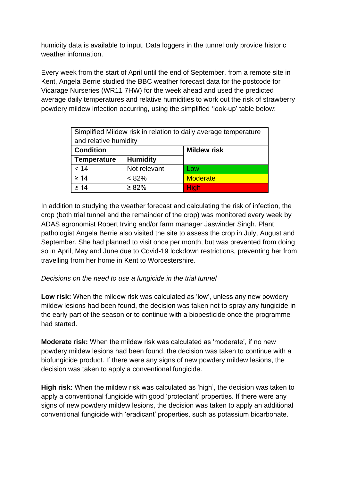humidity data is available to input. Data loggers in the tunnel only provide historic weather information.

Every week from the start of April until the end of September, from a remote site in Kent, Angela Berrie studied the BBC weather forecast data for the postcode for Vicarage Nurseries (WR11 7HW) for the week ahead and used the predicted average daily temperatures and relative humidities to work out the risk of strawberry powdery mildew infection occurring, using the simplified 'look-up' table below:

| Simplified Mildew risk in relation to daily average temperature |                 |                    |  |  |
|-----------------------------------------------------------------|-----------------|--------------------|--|--|
| and relative humidity                                           |                 |                    |  |  |
| <b>Condition</b>                                                |                 | <b>Mildew risk</b> |  |  |
| <b>Temperature</b>                                              | <b>Humidity</b> |                    |  |  |
| < 14                                                            | Not relevant    | Low                |  |  |
| $\geq 14$                                                       | < 82%           | <b>Moderate</b>    |  |  |
| $\geq 14$                                                       | $\geq 82\%$     | <b>High</b>        |  |  |

In addition to studying the weather forecast and calculating the risk of infection, the crop (both trial tunnel and the remainder of the crop) was monitored every week by ADAS agronomist Robert Irving and/or farm manager Jaswinder Singh. Plant pathologist Angela Berrie also visited the site to assess the crop in July, August and September. She had planned to visit once per month, but was prevented from doing so in April, May and June due to Covid-19 lockdown restrictions, preventing her from travelling from her home in Kent to Worcestershire.

#### *Decisions on the need to use a fungicide in the trial tunnel*

**Low risk:** When the mildew risk was calculated as 'low', unless any new powdery mildew lesions had been found, the decision was taken not to spray any fungicide in the early part of the season or to continue with a biopesticide once the programme had started.

**Moderate risk:** When the mildew risk was calculated as 'moderate', if no new powdery mildew lesions had been found, the decision was taken to continue with a biofungicide product. If there were any signs of new powdery mildew lesions, the decision was taken to apply a conventional fungicide.

**High risk:** When the mildew risk was calculated as 'high', the decision was taken to apply a conventional fungicide with good 'protectant' properties. If there were any signs of new powdery mildew lesions, the decision was taken to apply an additional conventional fungicide with 'eradicant' properties, such as potassium bicarbonate.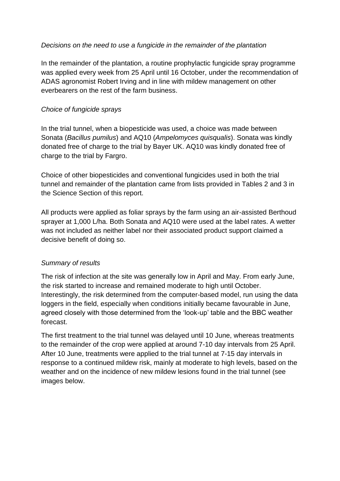#### *Decisions on the need to use a fungicide in the remainder of the plantation*

In the remainder of the plantation, a routine prophylactic fungicide spray programme was applied every week from 25 April until 16 October, under the recommendation of ADAS agronomist Robert Irving and in line with mildew management on other everbearers on the rest of the farm business.

#### *Choice of fungicide sprays*

In the trial tunnel, when a biopesticide was used, a choice was made between Sonata (*Bacillus pumilus*) and AQ10 (*Ampelomyces quisqualis*). Sonata was kindly donated free of charge to the trial by Bayer UK. AQ10 was kindly donated free of charge to the trial by Fargro.

Choice of other biopesticides and conventional fungicides used in both the trial tunnel and remainder of the plantation came from lists provided in Tables 2 and 3 in the Science Section of this report.

All products were applied as foliar sprays by the farm using an air-assisted Berthoud sprayer at 1,000 L/ha. Both Sonata and AQ10 were used at the label rates. A wetter was not included as neither label nor their associated product support claimed a decisive benefit of doing so.

#### *Summary of results*

The risk of infection at the site was generally low in April and May. From early June, the risk started to increase and remained moderate to high until October. Interestingly, the risk determined from the computer-based model, run using the data loggers in the field, especially when conditions initially became favourable in June, agreed closely with those determined from the 'look-up' table and the BBC weather forecast.

The first treatment to the trial tunnel was delayed until 10 June, whereas treatments to the remainder of the crop were applied at around 7-10 day intervals from 25 April. After 10 June, treatments were applied to the trial tunnel at 7-15 day intervals in response to a continued mildew risk, mainly at moderate to high levels, based on the weather and on the incidence of new mildew lesions found in the trial tunnel (see images below.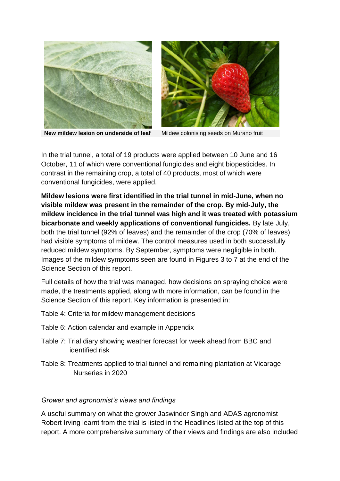



**New mildew lesion on underside of leaf** Mildew colonising seeds on Murano fruit

In the trial tunnel, a total of 19 products were applied between 10 June and 16 October, 11 of which were conventional fungicides and eight biopesticides. In contrast in the remaining crop, a total of 40 products, most of which were conventional fungicides, were applied.

**Mildew lesions were first identified in the trial tunnel in mid-June, when no visible mildew was present in the remainder of the crop. By mid-July, the mildew incidence in the trial tunnel was high and it was treated with potassium bicarbonate and weekly applications of conventional fungicides.** By late July, both the trial tunnel (92% of leaves) and the remainder of the crop (70% of leaves) had visible symptoms of mildew. The control measures used in both successfully reduced mildew symptoms. By September, symptoms were negligible in both. Images of the mildew symptoms seen are found in Figures 3 to 7 at the end of the Science Section of this report.

Full details of how the trial was managed, how decisions on spraying choice were made, the treatments applied, along with more information, can be found in the Science Section of this report. Key information is presented in:

- Table 4: Criteria for mildew management decisions
- Table 6: Action calendar and example in Appendix
- Table 7: Trial diary showing weather forecast for week ahead from BBC and identified risk
- Table 8: Treatments applied to trial tunnel and remaining plantation at Vicarage Nurseries in 2020

#### *Grower and agronomist's views and findings*

A useful summary on what the grower Jaswinder Singh and ADAS agronomist Robert Irving learnt from the trial is listed in the Headlines listed at the top of this report. A more comprehensive summary of their views and findings are also included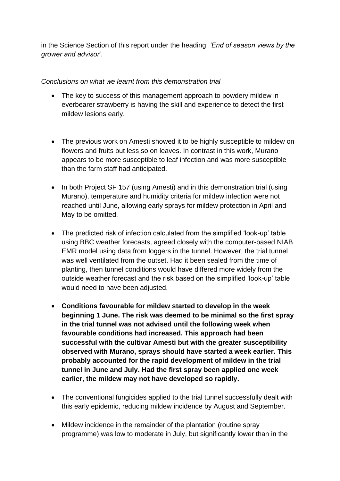in the Science Section of this report under the heading: *'End of season views by the grower and advisor'*.

### *Conclusions on what we learnt from this demonstration trial*

- The key to success of this management approach to powdery mildew in everbearer strawberry is having the skill and experience to detect the first mildew lesions early.
- The previous work on Amesti showed it to be highly susceptible to mildew on flowers and fruits but less so on leaves. In contrast in this work, Murano appears to be more susceptible to leaf infection and was more susceptible than the farm staff had anticipated.
- In both Project SF 157 (using Amesti) and in this demonstration trial (using Murano), temperature and humidity criteria for mildew infection were not reached until June, allowing early sprays for mildew protection in April and May to be omitted.
- The predicted risk of infection calculated from the simplified 'look-up' table using BBC weather forecasts, agreed closely with the computer-based NIAB EMR model using data from loggers in the tunnel. However, the trial tunnel was well ventilated from the outset. Had it been sealed from the time of planting, then tunnel conditions would have differed more widely from the outside weather forecast and the risk based on the simplified 'look-up' table would need to have been adjusted.
- **Conditions favourable for mildew started to develop in the week beginning 1 June. The risk was deemed to be minimal so the first spray in the trial tunnel was not advised until the following week when favourable conditions had increased. This approach had been successful with the cultivar Amesti but with the greater susceptibility observed with Murano, sprays should have started a week earlier. This probably accounted for the rapid development of mildew in the trial tunnel in June and July. Had the first spray been applied one week earlier, the mildew may not have developed so rapidly.**
- The conventional fungicides applied to the trial tunnel successfully dealt with this early epidemic, reducing mildew incidence by August and September.
- Mildew incidence in the remainder of the plantation (routine spray programme) was low to moderate in July, but significantly lower than in the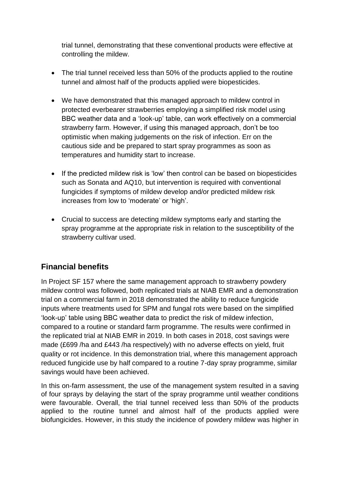trial tunnel, demonstrating that these conventional products were effective at controlling the mildew.

- The trial tunnel received less than 50% of the products applied to the routine tunnel and almost half of the products applied were biopesticides.
- We have demonstrated that this managed approach to mildew control in protected everbearer strawberries employing a simplified risk model using BBC weather data and a 'look-up' table, can work effectively on a commercial strawberry farm. However, if using this managed approach, don't be too optimistic when making judgements on the risk of infection. Err on the cautious side and be prepared to start spray programmes as soon as temperatures and humidity start to increase.
- If the predicted mildew risk is 'low' then control can be based on biopesticides such as Sonata and AQ10, but intervention is required with conventional fungicides if symptoms of mildew develop and/or predicted mildew risk increases from low to 'moderate' or 'high'.
- Crucial to success are detecting mildew symptoms early and starting the spray programme at the appropriate risk in relation to the susceptibility of the strawberry cultivar used.

# **Financial benefits**

In Project SF 157 where the same management approach to strawberry powdery mildew control was followed, both replicated trials at NIAB EMR and a demonstration trial on a commercial farm in 2018 demonstrated the ability to reduce fungicide inputs where treatments used for SPM and fungal rots were based on the simplified 'look-up' table using BBC weather data to predict the risk of mildew infection, compared to a routine or standard farm programme. The results were confirmed in the replicated trial at NIAB EMR in 2019. In both cases in 2018, cost savings were made (£699 /ha and £443 /ha respectively) with no adverse effects on yield, fruit quality or rot incidence. In this demonstration trial, where this management approach reduced fungicide use by half compared to a routine 7-day spray programme, similar savings would have been achieved.

In this on-farm assessment, the use of the management system resulted in a saving of four sprays by delaying the start of the spray programme until weather conditions were favourable. Overall, the trial tunnel received less than 50% of the products applied to the routine tunnel and almost half of the products applied were biofungicides. However, in this study the incidence of powdery mildew was higher in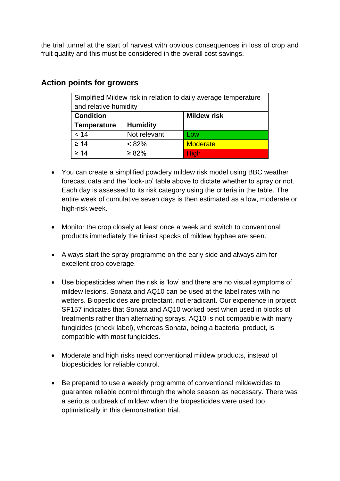the trial tunnel at the start of harvest with obvious consequences in loss of crop and fruit quality and this must be considered in the overall cost savings.

| Simplified Mildew risk in relation to daily average temperature |                 |                    |  |  |
|-----------------------------------------------------------------|-----------------|--------------------|--|--|
| and relative humidity                                           |                 |                    |  |  |
| <b>Condition</b>                                                |                 | <b>Mildew risk</b> |  |  |
| <b>Temperature</b>                                              | <b>Humidity</b> |                    |  |  |
| < 14                                                            | Not relevant    | Low                |  |  |
| $\geq 14$                                                       | $< 82\%$        | <b>Moderate</b>    |  |  |
| $\geq 14$                                                       | $\geq 82\%$     | <b>High</b>        |  |  |

### **Action points for growers**

- You can create a simplified powdery mildew risk model using BBC weather forecast data and the 'look-up' table above to dictate whether to spray or not. Each day is assessed to its risk category using the criteria in the table. The entire week of cumulative seven days is then estimated as a low, moderate or high-risk week.
- Monitor the crop closely at least once a week and switch to conventional products immediately the tiniest specks of mildew hyphae are seen.
- Always start the spray programme on the early side and always aim for excellent crop coverage.
- Use biopesticides when the risk is 'low' and there are no visual symptoms of mildew lesions. Sonata and AQ10 can be used at the label rates with no wetters. Biopesticides are protectant, not eradicant. Our experience in project SF157 indicates that Sonata and AQ10 worked best when used in blocks of treatments rather than alternating sprays. AQ10 is not compatible with many fungicides (check label), whereas Sonata, being a bacterial product, is compatible with most fungicides.
- Moderate and high risks need conventional mildew products, instead of biopesticides for reliable control.
- Be prepared to use a weekly programme of conventional mildewcides to guarantee reliable control through the whole season as necessary. There was a serious outbreak of mildew when the biopesticides were used too optimistically in this demonstration trial.